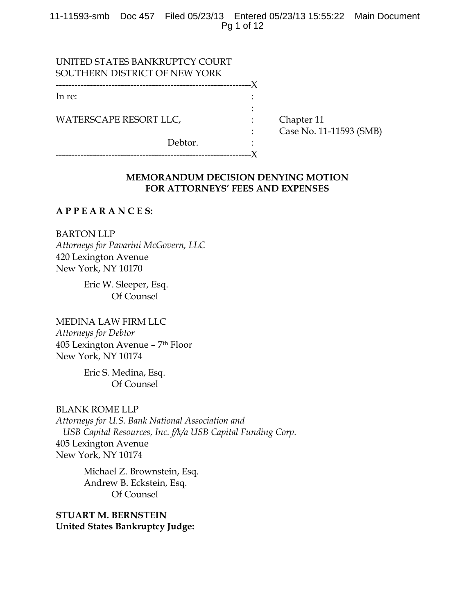11-11593-smb Doc 457 Filed 05/23/13 Entered 05/23/13 15:55:22 Main Document Pg 1 of 12

| UNITED STATES BANKRUPTCY COURT |                         |
|--------------------------------|-------------------------|
| SOUTHERN DISTRICT OF NEW YORK  |                         |
| ----------------------------   |                         |
| In re:                         |                         |
|                                |                         |
| WATERSCAPE RESORT LLC,         | Chapter 11              |
|                                | Case No. 11-11593 (SMB) |
| Debtor.                        |                         |
|                                |                         |

# **MEMORANDUM DECISION DENYING MOTION FOR ATTORNEYS' FEES AND EXPENSES**

## **A P P E A R A N C E S:**

BARTON LLP *Attorneys for Pavarini McGovern, LLC*  420 Lexington Avenue New York, NY 10170

> Eric W. Sleeper, Esq. Of Counsel

MEDINA LAW FIRM LLC *Attorneys for Debtor*  405 Lexington Avenue – 7th Floor New York, NY 10174

> Eric S. Medina, Esq. Of Counsel

BLANK ROME LLP *Attorneys for U.S. Bank National Association and USB Capital Resources, Inc. f/k/a USB Capital Funding Corp.*  405 Lexington Avenue New York, NY 10174

> Michael Z. Brownstein, Esq. Andrew B. Eckstein, Esq. Of Counsel

**STUART M. BERNSTEIN United States Bankruptcy Judge:**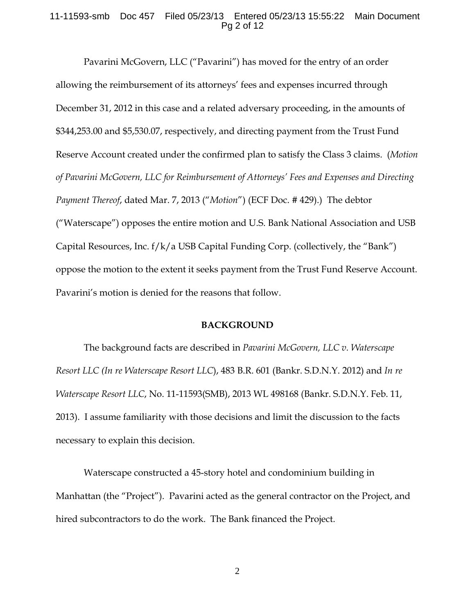#### 11-11593-smb Doc 457 Filed 05/23/13 Entered 05/23/13 15:55:22 Main Document Pg 2 of 12

 Pavarini McGovern, LLC ("Pavarini") has moved for the entry of an order allowing the reimbursement of its attorneys' fees and expenses incurred through December 31, 2012 in this case and a related adversary proceeding, in the amounts of \$344,253.00 and \$5,530.07, respectively, and directing payment from the Trust Fund Reserve Account created under the confirmed plan to satisfy the Class 3 claims. (*Motion of Pavarini McGovern, LLC for Reimbursement of Attorneys' Fees and Expenses and Directing Payment Thereof*, dated Mar. 7, 2013 ("*Motion*") (ECF Doc. # 429).)The debtor ("Waterscape") opposes the entire motion and U.S. Bank National Association and USB Capital Resources, Inc.  $f/k/a$  USB Capital Funding Corp. (collectively, the "Bank") oppose the motion to the extent it seeks payment from the Trust Fund Reserve Account. Pavarini's motion is denied for the reasons that follow.

## **BACKGROUND**

 The background facts are described in *Pavarini McGovern, LLC v. Waterscape Resort LLC (In re Waterscape Resort LLC*), 483 B.R. 601 (Bankr. S.D.N.Y. 2012) and *In re Waterscape Resort LLC*, No. 11-11593(SMB), 2013 WL 498168 (Bankr. S.D.N.Y. Feb. 11, 2013). I assume familiarity with those decisions and limit the discussion to the facts necessary to explain this decision.

 Waterscape constructed a 45-story hotel and condominium building in Manhattan (the "Project"). Pavarini acted as the general contractor on the Project, and hired subcontractors to do the work. The Bank financed the Project.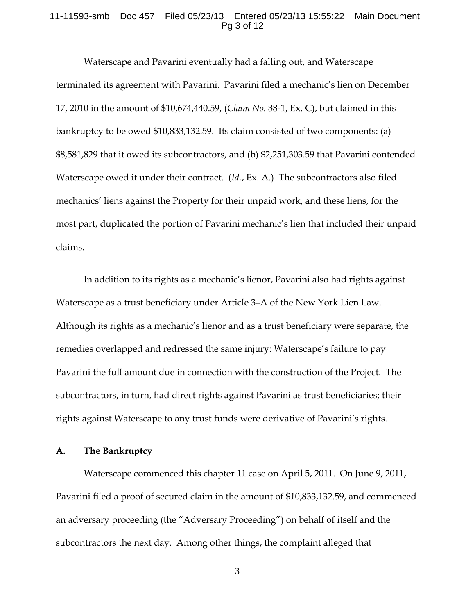#### 11-11593-smb Doc 457 Filed 05/23/13 Entered 05/23/13 15:55:22 Main Document Pg 3 of 12

 Waterscape and Pavarini eventually had a falling out, and Waterscape terminated its agreement with Pavarini. Pavarini filed a mechanic's lien on December 17, 2010 in the amount of \$10,674,440.59, (*Claim No.* 38-1, Ex. C), but claimed in this bankruptcy to be owed \$10,833,132.59. Its claim consisted of two components: (a) \$8,581,829 that it owed its subcontractors, and (b) \$2,251,303.59 that Pavarini contended Waterscape owed it under their contract. (*Id.*, Ex. A.)The subcontractors also filed mechanics' liens against the Property for their unpaid work, and these liens, for the most part, duplicated the portion of Pavarini mechanic's lien that included their unpaid claims.

 In addition to its rights as a mechanic's lienor, Pavarini also had rights against Waterscape as a trust beneficiary under Article 3–A of the New York Lien Law. Although its rights as a mechanic's lienor and as a trust beneficiary were separate, the remedies overlapped and redressed the same injury: Waterscape's failure to pay Pavarini the full amount due in connection with the construction of the Project. The subcontractors, in turn, had direct rights against Pavarini as trust beneficiaries; their rights against Waterscape to any trust funds were derivative of Pavarini's rights.

## **A. The Bankruptcy**

 Waterscape commenced this chapter 11 case on April 5, 2011. On June 9, 2011, Pavarini filed a proof of secured claim in the amount of \$10,833,132.59, and commenced an adversary proceeding (the "Adversary Proceeding") on behalf of itself and the subcontractors the next day. Among other things, the complaint alleged that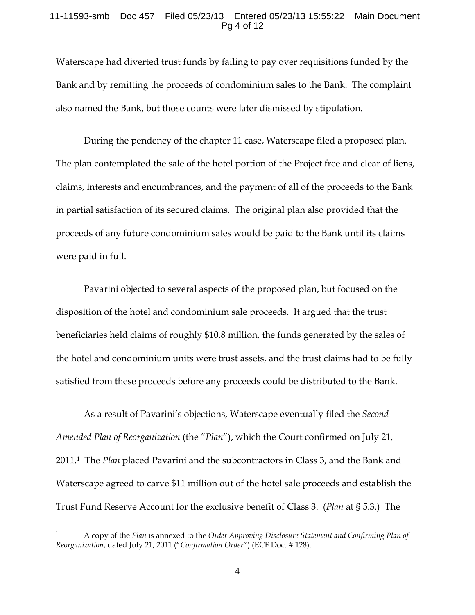### 11-11593-smb Doc 457 Filed 05/23/13 Entered 05/23/13 15:55:22 Main Document Pg 4 of 12

Waterscape had diverted trust funds by failing to pay over requisitions funded by the Bank and by remitting the proceeds of condominium sales to the Bank. The complaint also named the Bank, but those counts were later dismissed by stipulation.

 During the pendency of the chapter 11 case, Waterscape filed a proposed plan. The plan contemplated the sale of the hotel portion of the Project free and clear of liens, claims, interests and encumbrances, and the payment of all of the proceeds to the Bank in partial satisfaction of its secured claims. The original plan also provided that the proceeds of any future condominium sales would be paid to the Bank until its claims were paid in full.

 Pavarini objected to several aspects of the proposed plan, but focused on the disposition of the hotel and condominium sale proceeds. It argued that the trust beneficiaries held claims of roughly \$10.8 million, the funds generated by the sales of the hotel and condominium units were trust assets, and the trust claims had to be fully satisfied from these proceeds before any proceeds could be distributed to the Bank.

 As a result of Pavarini's objections, Waterscape eventually filed the *Second Amended Plan of Reorganization* (the "*Plan*"), which the Court confirmed on July 21, 2011.1 The *Plan* placed Pavarini and the subcontractors in Class 3, and the Bank and Waterscape agreed to carve \$11 million out of the hotel sale proceeds and establish the Trust Fund Reserve Account for the exclusive benefit of Class 3. (*Plan* at § 5.3.)The

<sup>1</sup> A copy of the *Plan* is annexed to the *Order Approving Disclosure Statement and Confirming Plan of Reorganization*, dated July 21, 2011 ("*Confirmation Order*") (ECF Doc. # 128).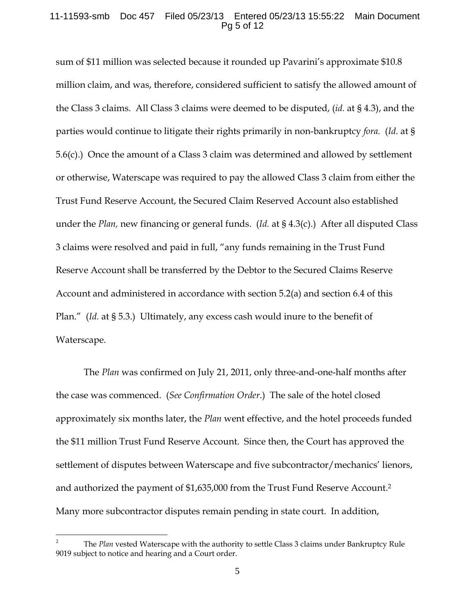### 11-11593-smb Doc 457 Filed 05/23/13 Entered 05/23/13 15:55:22 Main Document Pg 5 of 12

sum of \$11 million was selected because it rounded up Pavarini's approximate \$10.8 million claim, and was, therefore, considered sufficient to satisfy the allowed amount of the Class 3 claims. All Class 3 claims were deemed to be disputed, (*id.* at § 4.3), and the parties would continue to litigate their rights primarily in non-bankruptcy *fora.* (*Id.* at § 5.6(c).) Once the amount of a Class 3 claim was determined and allowed by settlement or otherwise, Waterscape was required to pay the allowed Class 3 claim from either the Trust Fund Reserve Account, the Secured Claim Reserved Account also established under the *Plan,* new financing or general funds. (*Id.* at § 4.3(c).) After all disputed Class 3 claims were resolved and paid in full, "any funds remaining in the Trust Fund Reserve Account shall be transferred by the Debtor to the Secured Claims Reserve Account and administered in accordance with section 5.2(a) and section 6.4 of this Plan." (*Id.* at § 5.3.) Ultimately, any excess cash would inure to the benefit of Waterscape.

 The *Plan* was confirmed on July 21, 2011, only three-and-one-half months after the case was commenced. (*See Confirmation Order*.) The sale of the hotel closed approximately six months later, the *Plan* went effective, and the hotel proceeds funded the \$11 million Trust Fund Reserve Account. Since then, the Court has approved the settlement of disputes between Waterscape and five subcontractor/mechanics' lienors, and authorized the payment of \$1,635,000 from the Trust Fund Reserve Account.2 Many more subcontractor disputes remain pending in state court. In addition,

<u>.</u>

<sup>2</sup> The *Plan* vested Waterscape with the authority to settle Class 3 claims under Bankruptcy Rule 9019 subject to notice and hearing and a Court order.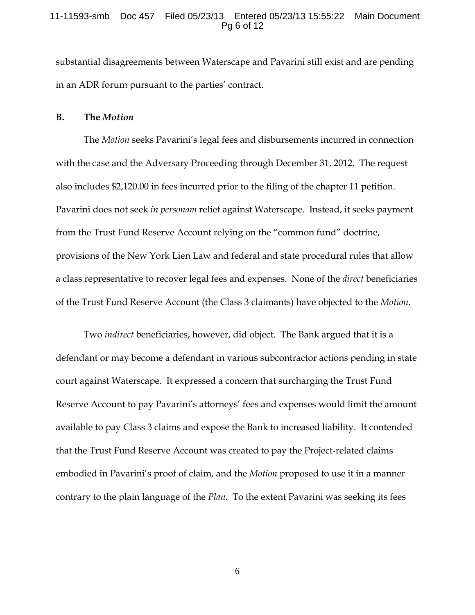#### 11-11593-smb Doc 457 Filed 05/23/13 Entered 05/23/13 15:55:22 Main Document Pg 6 of 12

substantial disagreements between Waterscape and Pavarini still exist and are pending in an ADR forum pursuant to the parties' contract.

#### **B. The** *Motion*

 The *Motion* seeks Pavarini's legal fees and disbursements incurred in connection with the case and the Adversary Proceeding through December 31, 2012. The request also includes \$2,120.00 in fees incurred prior to the filing of the chapter 11 petition. Pavarini does not seek *in personam* relief against Waterscape. Instead, it seeks payment from the Trust Fund Reserve Account relying on the "common fund" doctrine, provisions of the New York Lien Law and federal and state procedural rules that allow a class representative to recover legal fees and expenses. None of the *direct* beneficiaries of the Trust Fund Reserve Account (the Class 3 claimants) have objected to the *Motion*.

 Two *indirect* beneficiaries, however, did object. The Bank argued that it is a defendant or may become a defendant in various subcontractor actions pending in state court against Waterscape. It expressed a concern that surcharging the Trust Fund Reserve Account to pay Pavarini's attorneys' fees and expenses would limit the amount available to pay Class 3 claims and expose the Bank to increased liability. It contended that the Trust Fund Reserve Account was created to pay the Project-related claims embodied in Pavarini's proof of claim, and the *Motion* proposed to use it in a manner contrary to the plain language of the *Plan.* To the extent Pavarini was seeking its fees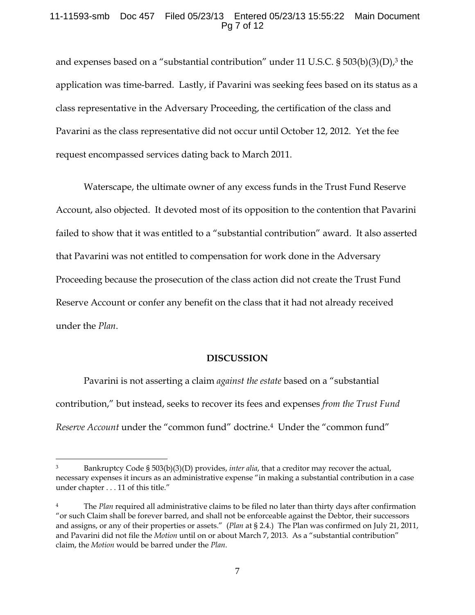## 11-11593-smb Doc 457 Filed 05/23/13 Entered 05/23/13 15:55:22 Main Document Pg 7 of 12

and expenses based on a "substantial contribution" under 11 U.S.C.  $\S$  503(b)(3)(D),<sup>3</sup> the application was time-barred. Lastly, if Pavarini was seeking fees based on its status as a class representative in the Adversary Proceeding, the certification of the class and Pavarini as the class representative did not occur until October 12, 2012. Yet the fee request encompassed services dating back to March 2011.

 Waterscape, the ultimate owner of any excess funds in the Trust Fund Reserve Account, also objected. It devoted most of its opposition to the contention that Pavarini failed to show that it was entitled to a "substantial contribution" award. It also asserted that Pavarini was not entitled to compensation for work done in the Adversary Proceeding because the prosecution of the class action did not create the Trust Fund Reserve Account or confer any benefit on the class that it had not already received under the *Plan*.

### **DISCUSSION**

 Pavarini is not asserting a claim *against the estate* based on a "substantial contribution," but instead, seeks to recover its fees and expenses *from the Trust Fund Reserve Account* under the "common fund" doctrine.4 Under the "common fund"

 $\overline{a}$ 

<sup>3</sup> Bankruptcy Code § 503(b)(3)(D) provides, *inter alia*, that a creditor may recover the actual, necessary expenses it incurs as an administrative expense "in making a substantial contribution in a case under chapter . . . 11 of this title."

<sup>4</sup> The *Plan* required all administrative claims to be filed no later than thirty days after confirmation "or such Claim shall be forever barred, and shall not be enforceable against the Debtor, their successors and assigns, or any of their properties or assets." (*Plan* at § 2.4.) The Plan was confirmed on July 21, 2011, and Pavarini did not file the *Motion* until on or about March 7, 2013. As a "substantial contribution" claim, the *Motion* would be barred under the *Plan*.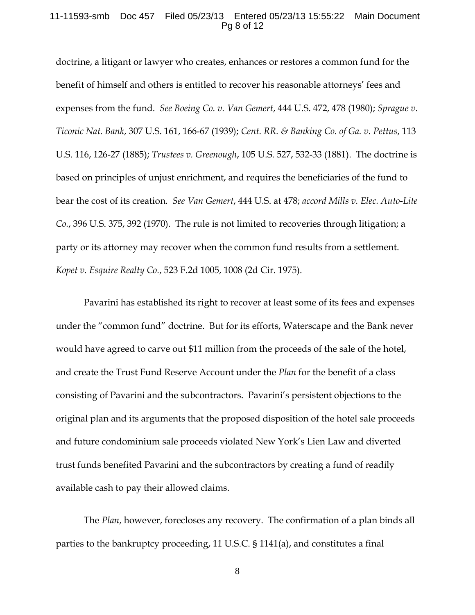#### 11-11593-smb Doc 457 Filed 05/23/13 Entered 05/23/13 15:55:22 Main Document Pg 8 of 12

doctrine, a litigant or lawyer who creates, enhances or restores a common fund for the benefit of himself and others is entitled to recover his reasonable attorneys' fees and expenses from the fund. *See Boeing Co. v. Van Gemert*, 444 U.S. 472, 478 (1980); *Sprague v. Ticonic Nat. Bank*, 307 U.S. 161, 166-67 (1939); *Cent. RR. & Banking Co. of Ga. v. Pettus*, 113 U.S. 116, 126-27 (1885); *Trustees v. Greenough*, 105 U.S. 527, 532-33 (1881). The doctrine is based on principles of unjust enrichment, and requires the beneficiaries of the fund to bear the cost of its creation. *See Van Gemert*, 444 U.S. at 478; *accord Mills v. Elec. Auto-Lite Co.*, 396 U.S. 375, 392 (1970). The rule is not limited to recoveries through litigation; a party or its attorney may recover when the common fund results from a settlement. *Kopet v. Esquire Realty Co.*, 523 F.2d 1005, 1008 (2d Cir. 1975).

 Pavarini has established its right to recover at least some of its fees and expenses under the "common fund" doctrine. But for its efforts, Waterscape and the Bank never would have agreed to carve out \$11 million from the proceeds of the sale of the hotel, and create the Trust Fund Reserve Account under the *Plan* for the benefit of a class consisting of Pavarini and the subcontractors. Pavarini's persistent objections to the original plan and its arguments that the proposed disposition of the hotel sale proceeds and future condominium sale proceeds violated New York's Lien Law and diverted trust funds benefited Pavarini and the subcontractors by creating a fund of readily available cash to pay their allowed claims.

 The *Plan*, however, forecloses any recovery. The confirmation of a plan binds all parties to the bankruptcy proceeding, 11 U.S.C. § 1141(a), and constitutes a final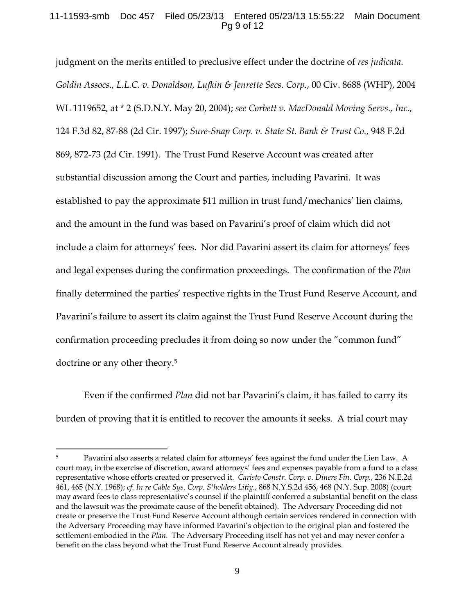## 11-11593-smb Doc 457 Filed 05/23/13 Entered 05/23/13 15:55:22 Main Document Pg 9 of 12

judgment on the merits entitled to preclusive effect under the doctrine of *res judicata*. *Goldin Assocs., L.L.C. v. Donaldson, Lufkin & Jenrette Secs. Corp.*, 00 Civ. 8688 (WHP), 2004 WL 1119652, at \* 2 (S.D.N.Y. May 20, 2004); *see Corbett v. MacDonald Moving Servs., Inc.*, 124 F.3d 82, 87-88 (2d Cir. 1997); *Sure-Snap Corp. v. State St. Bank & Trust Co.*, 948 F.2d 869, 872-73 (2d Cir. 1991). The Trust Fund Reserve Account was created after substantial discussion among the Court and parties, including Pavarini. It was established to pay the approximate \$11 million in trust fund/mechanics' lien claims, and the amount in the fund was based on Pavarini's proof of claim which did not include a claim for attorneys' fees. Nor did Pavarini assert its claim for attorneys' fees and legal expenses during the confirmation proceedings. The confirmation of the *Plan* finally determined the parties' respective rights in the Trust Fund Reserve Account, and Pavarini's failure to assert its claim against the Trust Fund Reserve Account during the confirmation proceeding precludes it from doing so now under the "common fund" doctrine or any other theory.5

Even if the confirmed *Plan* did not bar Pavarini's claim, it has failed to carry its burden of proving that it is entitled to recover the amounts it seeks. A trial court may

 $\overline{a}$ 

<sup>&</sup>lt;sup>5</sup> Pavarini also asserts a related claim for attorneys' fees against the fund under the Lien Law. A court may, in the exercise of discretion, award attorneys' fees and expenses payable from a fund to a class representative whose efforts created or preserved it. *Caristo Constr. Corp. v. Diners Fin. Corp.*, 236 N.E.2d 461, 465 (N.Y. 1968); *cf. In re Cable Sys. Corp. S'holders Litig.*, 868 N.Y.S.2d 456, 468 (N.Y. Sup. 2008) (court may award fees to class representative's counsel if the plaintiff conferred a substantial benefit on the class and the lawsuit was the proximate cause of the benefit obtained). The Adversary Proceeding did not create or preserve the Trust Fund Reserve Account although certain services rendered in connection with the Adversary Proceeding may have informed Pavarini's objection to the original plan and fostered the settlement embodied in the *Plan.* The Adversary Proceeding itself has not yet and may never confer a benefit on the class beyond what the Trust Fund Reserve Account already provides.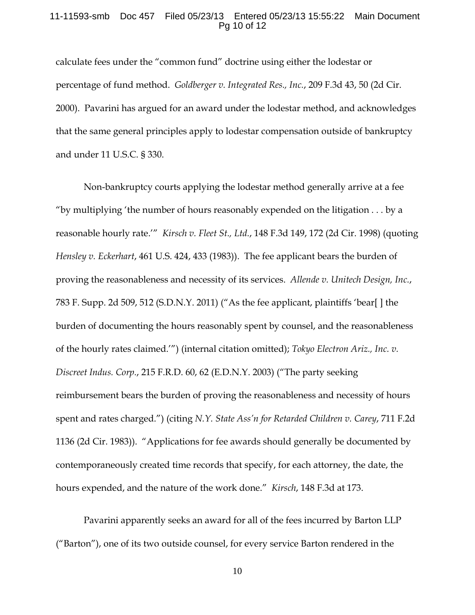### 11-11593-smb Doc 457 Filed 05/23/13 Entered 05/23/13 15:55:22 Main Document Pg 10 of 12

calculate fees under the "common fund" doctrine using either the lodestar or percentage of fund method. *Goldberger v. Integrated Res., Inc.*, 209 F.3d 43, 50 (2d Cir. 2000). Pavarini has argued for an award under the lodestar method, and acknowledges that the same general principles apply to lodestar compensation outside of bankruptcy and under 11 U.S.C. § 330.

 Non-bankruptcy courts applying the lodestar method generally arrive at a fee "by multiplying 'the number of hours reasonably expended on the litigation  $\dots$  by a reasonable hourly rate.'" *Kirsch v. Fleet St., Ltd.*, 148 F.3d 149, 172 (2d Cir. 1998) (quoting *Hensley v. Eckerhart*, 461 U.S. 424, 433 (1983)). The fee applicant bears the burden of proving the reasonableness and necessity of its services. *Allende v. Unitech Design, Inc.*, 783 F. Supp. 2d 509, 512 (S.D.N.Y. 2011) ("As the fee applicant, plaintiffs 'bear[ ] the burden of documenting the hours reasonably spent by counsel, and the reasonableness of the hourly rates claimed.'") (internal citation omitted); *Tokyo Electron Ariz., Inc. v. Discreet Indus. Corp.*, 215 F.R.D. 60, 62 (E.D.N.Y. 2003) ("The party seeking reimbursement bears the burden of proving the reasonableness and necessity of hours spent and rates charged.") (citing *N.Y. State Ass'n for Retarded Children v. Carey*, 711 F.2d 1136 (2d Cir. 1983)). "Applications for fee awards should generally be documented by contemporaneously created time records that specify, for each attorney, the date, the hours expended, and the nature of the work done." *Kirsch*, 148 F.3d at 173.

 Pavarini apparently seeks an award for all of the fees incurred by Barton LLP ("Barton"), one of its two outside counsel, for every service Barton rendered in the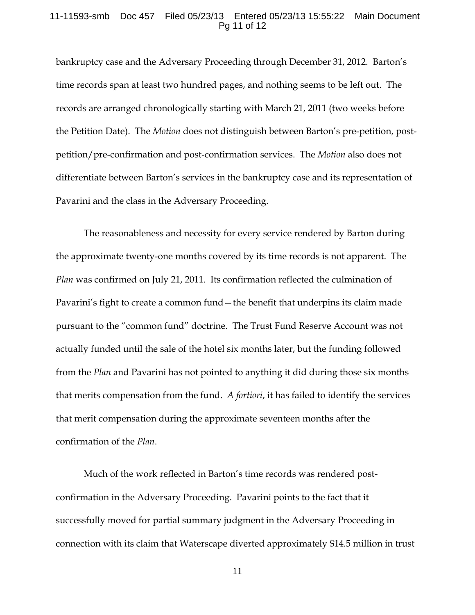### 11-11593-smb Doc 457 Filed 05/23/13 Entered 05/23/13 15:55:22 Main Document Pg 11 of 12

bankruptcy case and the Adversary Proceeding through December 31, 2012. Barton's time records span at least two hundred pages, and nothing seems to be left out. The records are arranged chronologically starting with March 21, 2011 (two weeks before the Petition Date). The *Motion* does not distinguish between Barton's pre-petition, postpetition/pre-confirmation and post-confirmation services. The *Motion* also does not differentiate between Barton's services in the bankruptcy case and its representation of Pavarini and the class in the Adversary Proceeding.

 The reasonableness and necessity for every service rendered by Barton during the approximate twenty-one months covered by its time records is not apparent. The *Plan* was confirmed on July 21, 2011. Its confirmation reflected the culmination of Pavarini's fight to create a common fund—the benefit that underpins its claim made pursuant to the "common fund" doctrine. The Trust Fund Reserve Account was not actually funded until the sale of the hotel six months later, but the funding followed from the *Plan* and Pavarini has not pointed to anything it did during those six months that merits compensation from the fund. *A fortiori*, it has failed to identify the services that merit compensation during the approximate seventeen months after the confirmation of the *Plan*.

 Much of the work reflected in Barton's time records was rendered postconfirmation in the Adversary Proceeding. Pavarini points to the fact that it successfully moved for partial summary judgment in the Adversary Proceeding in connection with its claim that Waterscape diverted approximately \$14.5 million in trust